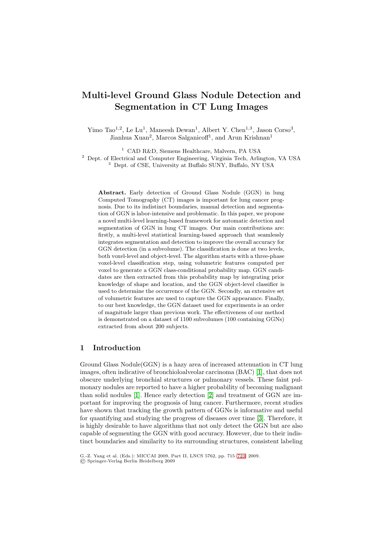# **Multi-level Ground Glass Nodule Detection and Segmentation in CT Lung Images**

Yimo Tao<sup>1,2</sup>, Le Lu<sup>1</sup>, Maneesh Dewan<sup>1</sup>, Albert Y. Chen<sup>1,3</sup>, Jason Corso<sup>3</sup>, Jianhua Xuan<sup>2</sup>, Marcos Salganicoff<sup>1</sup>, and Arun Krishnan<sup>1</sup>

<sup>1</sup> CAD R&D, Siemens Healthcare, Malvern, PA USA

 $^{\rm 2}$  Dept. of Electrical and Computer Engineering, Virginia Tech, Arlington, VA USA

<sup>3</sup> Dept. of CSE, University at Buffalo SUNY, Buffalo, NY USA

**Abstract.** Early detection of Ground Glass Nodule (GGN) in lung Computed Tomography (CT) images is important for lung cancer prognosis. Due to its indistinct boundaries, manual detection and segmentation of GGN is labor-intensive and problematic. In this paper, we propose a novel multi-level learning-based framework for automatic detection and segmentation of GGN in lung CT images. Our main contributions are: firstly, a multi-level statistical learning-based approach that seamlessly integrates segmentation and detection to improve the overall accuracy for GGN detection (in a subvolume). The classification is done at two levels, both voxel-level and object-level. The algorithm starts with a three-phase voxel-level classification step, using volumetric features computed per voxel to generate a GGN class-conditional probability map. GGN candidates are then extracted from this probability map by integrating prior knowledge of shape and location, and the GGN object-level classifier is used to determine the occurrence of the GGN. Secondly, an extensive set of volumetric features are used to capture the GGN appearance. Finally, to our best knowledge, the GGN dataset used for experiments is an order of magnitude larger than previous work. The effectiveness of our method is demonstrated on a dataset of 1100 subvolumes (100 containing GGNs) extracted from about 200 subjects.

## **1 Introduction**

Ground Glass Nodule(GGN) is a hazy area of increased attenuation in CT lung images, often indicative of bronchioloalveolar carcinoma (BAC) [\[1\]](#page-7-0), that does not obscure underlying bronchial structures or pulmonary vessels. These faint pulmonary nodules are reported to have a higher probability of becoming malignant than solid nodules [\[1\]](#page-7-0). Hence early detection [\[2\]](#page-7-1) and treatment of GGN are important for improving the prognosis of lung cancer. Furthermore, recent studies have shown that tracking the growth pattern of GGNs is informative and useful for quantifying and studying the progress of diseases over time [\[3\]](#page-7-2). Therefore, it is highly desirable to have algorithms that not only detect the GGN but are also capable of segmenting the GGN with good accuracy. However, due to their indistinct boundaries and similarity to its surrounding structures, consistent labeling

G.-Z. Yang et al. (Eds.): MICCAI 2009, Part II, LNCS 5762, pp. 715[–723,](#page-7-3) 2009.

<sup>©</sup> Springer-Verlag Berlin Heidelberg 2009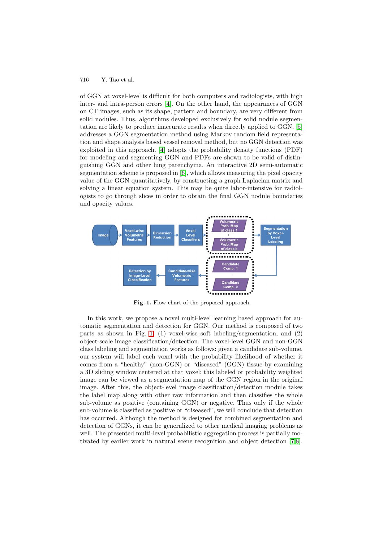of GGN at voxel-level is difficult for both computers and radiologists, with high inter- and intra-person errors [\[4\]](#page-7-4). On the other hand, the appearances of GGN on CT images, such as its shape, pattern and boundary, are very different from solid nodules. Thus, algorithms developed exclusively for solid nodule segmentation are likely to produce inaccurate results when directly applied to GGN. [\[5\]](#page-7-5) addresses a GGN segmentation method using Markov random field representation and shape analysis based vessel removal method, but no GGN detection was exploited in this approach. [\[4\]](#page-7-4) adopts the probability density functions (PDF) for modeling and segmenting GGN and PDFs are shown to be valid of distinguishing GGN and other lung parenchyma. An interactive 2D semi-automatic segmentation scheme is proposed in [\[6\]](#page-7-6), which allows measuring the pixel opacity value of the GGN quantitatively, by constructing a graph Laplacian matrix and solving a linear equation system. This may be quite labor-intensive for radiologists to go through slices in order to obtain the final GGN nodule boundaries and opacity values.



<span id="page-1-0"></span>**Fig. 1.** Flow chart of the proposed approach

In this work, we propose a novel multi-level learning based approach for automatic segmentation and detection for GGN. Our method is composed of two parts as shown in Fig. [1:](#page-1-0) (1) voxel-wise soft labeling/segmentation, and (2) object-scale image classification/detection. The voxel-level GGN and non-GGN class labeling and segmentation works as follows: given a candidate sub-volume, our system will label each voxel with the probability likelihood of whether it comes from a "healthy" (non-GGN) or "diseased" (GGN) tissue by examining a 3D sliding window centered at that voxel; this labeled or probability weighted image can be viewed as a segmentation map of the GGN region in the original image. After this, the object-level image classification/detection module takes the label map along with other raw information and then classifies the whole sub-volume as positive (containing GGN) or negative. Thus only if the whole sub-volume is classified as positive or "diseased", we will conclude that detection has occurred. Although the method is designed for combined segmentation and detection of GGNs, it can be generalized to other medical imaging problems as well. The presented multi-level probabilistic aggregation process is partially motivated by earlier work in natural scene recognition and object detection [\[7,](#page-7-7)[8\]](#page-7-8).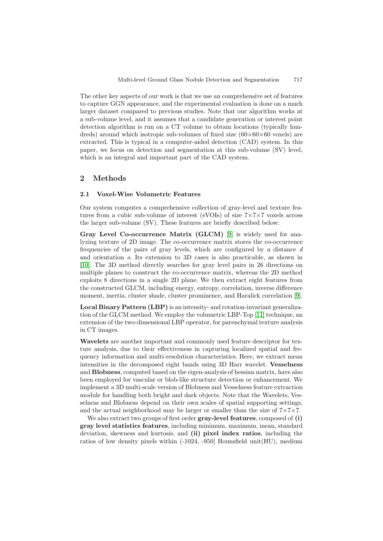The other key aspects of our work is that we use an comprehensive set of features to capture GGN appearance, and the experimental evaluation is done on a much larger dataset compared to previous studies. Note that our algorithm works at a sub-volume level, and it assumes that a candidate generation or interest point detection algorithm is run on a CT volume to obtain locations (typically hundreds) around which isotropic sub-volumes of fixed size  $(60\times60\times60\times00)$  voxels) are extracted. This is typical in a computer-aided detection (CAD) system. In this paper, we focus on detection and segmentation at this sub-volume (SV) level, which is an integral and important part of the CAD system.

### **2 Methods**

#### **2.1 Voxel-Wise Volumetric Features**

Our system computes a comprehensive collection of gray-level and texture features from a cubic sub-volume of interest (sVOIs) of size 7×7×7 voxels across the larger sub-volume (SV). These features are briefly described below:

**Gray Level Co-occurrence Matrix (GLCM)** [\[9\]](#page-7-9) is widely used for analyzing texture of 2D image. The co-occurrence matrix stores the co-occurrence frequencies of the pairs of gray levels, which are configured by a distance *d* and orientation *o*. Its extension to 3D cases is also practicable, as shown in [\[10\]](#page-8-0). The 3D method directly searches for gray level pairs in 26 directions on multiple planes to construct the co-occurrence matrix, whereas the 2D method exploits 8 directions in a single 2D plane. We then extract eight features from the constructed GLCM, including energy, entropy, correlation, inverse difference moment, inertia, cluster shade, cluster prominence, and Haralick correlation [\[9\]](#page-7-9).

**Local Binary Pattern (LBP)** is an intensity- and rotation-invariant generalization of the GLCM method. We employ the volumetric LBP-Top [\[11\]](#page-8-1) technique, an extension of the two-dimensional LBP operator, for parenchymal texture analysis in CT images.

**Wavelets** are another important and commonly used feature descriptor for texture analysis, due to their effectiveness in capturing localized spatial and frequency information and multi-resolution characteristics. Here, we extract mean intensities in the decomposed eight bands using 3D Harr wavelet. **Vesselness** and **Blobness**, computed based on the eigen-analysis of hessian matrix, have also been employed for vascular or blob-like structure detection or enhancement. We implement a 3D multi-scale version of Blobness and Vesselness feature extraction module for handling both bright and dark objects. Note that the Wavelets, Vesselness and Blobness depend on their own scales of spatial supporting settings, and the actual neighborhood may be larger or smaller than the size of  $7 \times 7 \times 7$ .

We also extract two groups of first order **gray-level features**, composed of **(i) gray level statistics features**, including minimum, maximum, mean, standard deviation, skewness and kurtosis, and **(ii) pixel index ratios**, including the ratios of low density pixels within (-1024, -950] Hounsfield unit(HU), medium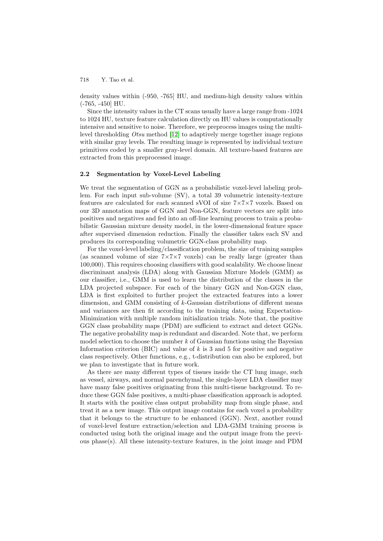density values within (-950, -765] HU, and medium-high density values within (-765, -450] HU.

Since the intensity values in the CT scans usually have a large range from -1024 to 1024 HU, texture feature calculation directly on HU values is computationally intensive and sensitive to noise. Therefore, we preprocess images using the multilevel thresholding *Otsu* method [\[12\]](#page-8-2) to adaptively merge together image regions with similar gray levels. The resulting image is represented by individual texture primitives coded by a smaller gray-level domain. All texture-based features are extracted from this preprocessed image.

#### **2.2 Segmentation by Voxel-Level Labeling**

We treat the segmentation of GGN as a probabilistic voxel-level labeling problem. For each input sub-volume (SV), a total 39 volumetric intensity-texture features are calculated for each scanned sVOI of size 7×7×7 voxels. Based on our 3D annotation maps of GGN and Non-GGN, feature vectors are split into positives and negatives and fed into an off-line learning process to train a probabilistic Gaussian mixture density model, in the lower-dimensional feature space after supervised dimension reduction. Finally the classifier takes each SV and produces its corresponding volumetric GGN-class probability map.

For the voxel-level labeling/classification problem, the size of training samples (as scanned volume of size  $7\times7\times7$  voxels) can be really large (greater than 100,000). This requires choosing classifiers with good scalability. We choose linear discriminant analysis (LDA) along with Gaussian Mixture Models (GMM) as our classifier, i.e., GMM is used to learn the distribution of the classes in the LDA projected subspace. For each of the binary GGN and Non-GGN class, LDA is first exploited to further project the extracted features into a lower dimension, and GMM consisting of *k*-Gaussian distributions of different means and variances are then fit according to the training data, using Expectation-Minimization with multiple random initialization trials. Note that, the positive GGN class probability maps (PDM) are sufficient to extract and detect GGNs. The negative probability map is redundant and discarded. Note that, we perform model selection to choose the number *k* of Gaussian functions using the Bayesian Information criterion (BIC) and value of *k* is 3 and 5 for positive and negative class respectively. Other functions, e.g., t-distribution can also be explored, but we plan to investigate that in future work.

As there are many different types of tissues inside the CT lung image, such as vessel, airways, and normal parenchymal, the single-layer LDA classifier may have many false positives originating from this multi-tissue background. To reduce these GGN false positives, a multi-phase classification approach is adopted. It starts with the positive class output probability map from single phase, and treat it as a new image. This output image contains for each voxel a probability that it belongs to the structure to be enhanced (GGN). Next, another round of voxel-level feature extraction/selection and LDA-GMM training process is conducted using both the original image and the output image from the previous phase(s). All these intensity-texture features, in the joint image and PDM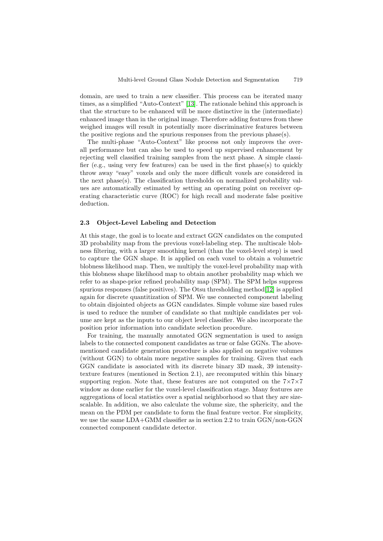domain, are used to train a new classifier. This process can be iterated many times, as a simplified "Auto-Context" [\[13\]](#page-8-3). The rationale behind this approach is that the structure to be enhanced will be more distinctive in the (intermediate) enhanced image than in the original image. Therefore adding features from these weighed images will result in potentially more discriminative features between the positive regions and the spurious responses from the previous phase(s).

The multi-phase "Auto-Context" like process not only improves the overall performance but can also be used to speed up supervised enhancement by rejecting well classified training samples from the next phase. A simple classifier (e.g., using very few features) can be used in the first phase(s) to quickly throw away "easy" voxels and only the more difficult voxels are considered in the next phase(s). The classification thresholds on normalized probability values are automatically estimated by setting an operating point on receiver operating characteristic curve (ROC) for high recall and moderate false positive deduction.

#### **2.3 Object-Level Labeling and Detection**

At this stage, the goal is to locate and extract GGN candidates on the computed 3D probability map from the previous voxel-labeling step. The multiscale blobness filtering, with a larger smoothing kernel (than the voxel-level step) is used to capture the GGN shape. It is applied on each voxel to obtain a volumetric blobness likelihood map. Then, we multiply the voxel-level probability map with this blobness shape likelihood map to obtain another probability map which we refer to as shape-prior refined probability map (SPM). The SPM helps suppress spurious responses (false positives). The Otsu thresholding method[\[12\]](#page-8-2) is applied again for discrete quantitization of SPM. We use connected component labeling to obtain disjointed objects as GGN candidates. Simple volume size based rules is used to reduce the number of candidate so that multiple candidates per volume are kept as the inputs to our object level classifier. We also incorporate the position prior information into candidate selection procedure.

For training, the manually annotated GGN segmentation is used to assign labels to the connected component candidates as true or false GGNs. The abovementioned candidate generation procedure is also applied on negative volumes (without GGN) to obtain more negative samples for training. Given that each GGN candidate is associated with its discrete binary 3D mask, 39 intensitytexture features (mentioned in Section 2.1), are recomputed within this binary supporting region. Note that, these features are not computed on the  $7\times7\times7$ window as done earlier for the voxel-level classification stage. Many features are aggregations of local statistics over a spatial neighborhood so that they are sizescalable. In addition, we also calculate the volume size, the sphericity, and the mean on the PDM per candidate to form the final feature vector. For simplicity, we use the same LDA+GMM classifier as in section 2.2 to train GGN/non-GGN connected component candidate detector.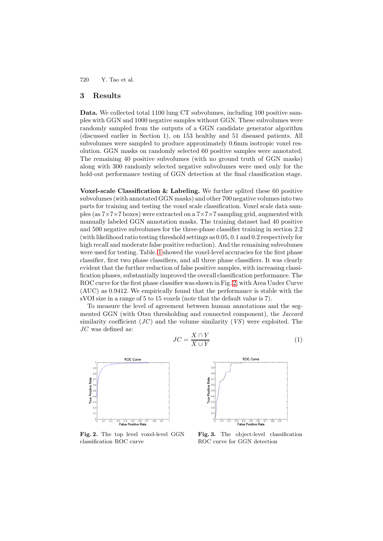## **3 Results**

**Data.** We collected total 1100 lung CT subvolumes, including 100 positive samples with GGN and 1000 negative samples without GGN. These subvolumes were randomly sampled from the outputs of a GGN candidate generator algorithm (discussed earlier in Section 1), on 153 healthy and 51 diseased patients. All subvolumes were sampled to produce approximately 0.6mm isotropic voxel resolution. GGN masks on randomly selected 60 positive samples were annotated. The remaining 40 positive subvolumes (with no ground truth of GGN masks) along with 300 randomly selected negative subvolumes were used only for the hold-out performance testing of GGN detection at the final classification stage.

**Voxel-scale Classification & Labeling.** We further splited these 60 positive subvolumes (with annotated GGN masks) and other 700 negative volumes into two parts for training and testing the voxel scale classification. Voxel scale data samples (as 7×7×7 boxes) were extracted on a 7×7×7 sampling grid, augmented with manually labeled GGN annotation masks. The training dataset had 40 positive and 500 negative subvolumes for the three-phase classifier training in section 2.2 (with likelihood ratio testing threshold settings as 0.05, 0.1 and 0.2 respectively for high recall and moderate false positive reduction). And the remaining subvolumes were used for testing. Table. [1](#page-6-0) showed the voxel-level accuracies for the first phase classifier, first two phase classifiers, and all three phase classifiers. It was clearly evident that the further reduction of false positive samples, with increasing classification phases, substantially improved the overall classification performance. The ROC curve for the first phase classifier was shown in Fig. [2,](#page-5-0) with Area Under Curve (AUC) as 0.9412. We empirically found that the performance is stable with the sVOI size in a range of 5 to 15 voxels (note that the default value is 7).

To measure the level of agreement between human annotations and the segmented GGN (with Otsu thresholding and connected component), the *Jaccard* similarity coefficient (*JC*) and the volume similarity (*VS*) were exploited. The *JC* was defined as:

$$
JC = \frac{X \cap Y}{X \cup Y} \tag{1}
$$



<span id="page-5-0"></span>**Fig. 2.** The top level voxel-level GGN classification ROC curve



<span id="page-5-1"></span>**Fig. 3.** The object-level classification ROC curve for GGN detection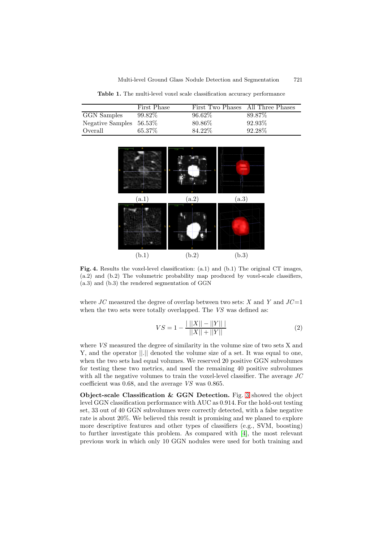<span id="page-6-0"></span>**Table 1.** The multi-level voxel scale classification accuracy performance

|                          | First Phase | First Two Phases All Three Phases |         |
|--------------------------|-------------|-----------------------------------|---------|
| GGN Samples              | 99.82\%     | 96.62\%                           | 89.87\% |
| Negative Samples 56.53\% |             | 80.86\%                           | 92.93%  |
| Overall                  | 65.37\%     | 84.22\%                           | 92.28%  |



<span id="page-6-1"></span>Fig. 4. Results the voxel-level classification: (a.1) and (b.1) The original CT images, (a.2) and (b.2) The volumetric probability map produced by voxel-scale classifiers, (a.3) and (b.3) the rendered segmentation of GGN

where  $JC$  measured the degree of overlap between two sets:  $X$  and  $Y$  and  $JC=1$ when the two sets were totally overlapped. The *VS* was defined as:

$$
VS = 1 - \frac{|\ ||X|| - ||Y|| \ |}{\||X|| + ||Y||}
$$
 (2)

where *VS* measured the degree of similarity in the volume size of two sets X and Y, and the operator  $||.||$  denoted the volume size of a set. It was equal to one, when the two sets had equal volumes. We reserved 20 positive GGN subvolumes for testing these two metrics, and used the remaining 40 positive subvolumes with all the negative volumes to train the voxel-level classifier. The average *JC* coefficient was 0.68, and the average *VS* was 0.865.

**Object-scale Classification & GGN Detection.** Fig. [3](#page-5-1) showed the object level GGN classification performance with AUC as 0.914. For the hold-out testing set, 33 out of 40 GGN subvolumes were correctly detected, with a false negative rate is about 20%. We believed this result is promising and we planed to explore more descriptive features and other types of classifiers (e.g., SVM, boosting) to further investigate this problem. As compared with [\[4\]](#page-7-4), the most relevant previous work in which only 10 GGN nodules were used for both training and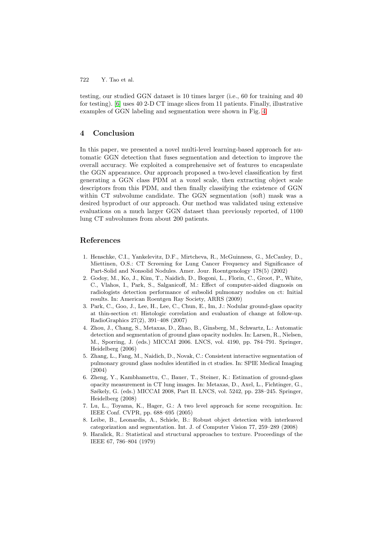testing, our studied GGN dataset is 10 times larger (i.e., 60 for training and 40 for testing). [\[6\]](#page-7-6) uses 40 2-D CT image slices from 11 patients. Finally, illustrative examples of GGN labeling and segmentation were shown in Fig. [4.](#page-6-1)

## **4 Conclusion**

In this paper, we presented a novel multi-level learning-based approach for automatic GGN detection that fuses segmentation and detection to improve the overall accuracy. We exploited a comprehensive set of features to encapsulate the GGN appearance. Our approach proposed a two-level classification by first generating a GGN class PDM at a voxel scale, then extracting object scale descriptors from this PDM, and then finally classifying the existence of GGN within CT subvolume candidate. The GGN segmentation (soft) mask was a desired byproduct of our approach. Our method was validated using extensive evaluations on a much larger GGN dataset than previously reported, of 1100 lung CT subvolumes from about 200 patients.

## <span id="page-7-3"></span>**References**

- <span id="page-7-0"></span>1. Henschke, C.I., Yankelevitz, D.F., Mirtcheva, R., McGuinness, G., McCauley, D., Miettinen, O.S.: CT Screening for Lung Cancer Frequency and Significance of Part-Solid and Nonsolid Nodules. Amer. Jour. Roentgenology 178(5) (2002)
- <span id="page-7-1"></span>2. Godoy, M., Ko, J., Kim, T., Naidich, D., Bogoni, L., Florin, C., Groot, P., White, C., Vlahos, I., Park, S., Salganicoff, M.: Effect of computer-aided diagnosis on radiologists detection performance of subsolid pulmonary nodules on ct: Initial results. In: American Roentgen Ray Society, ARRS (2009)
- <span id="page-7-2"></span>3. Park, C., Goo, J., Lee, H., Lee, C., Chun, E., Im, J.: Nodular ground-glass opacity at thin-section ct: Histologic correlation and evaluation of change at follow-up. RadioGraphics 27(2), 391–408 (2007)
- <span id="page-7-4"></span>4. Zhou, J., Chang, S., Metaxas, D., Zhao, B., Ginsberg, M., Schwartz, L.: Automatic detection and segmentation of ground glass opacity nodules. In: Larsen, R., Nielsen, M., Sporring, J. (eds.) MICCAI 2006. LNCS, vol. 4190, pp. 784–791. Springer, Heidelberg (2006)
- <span id="page-7-5"></span>5. Zhang, L., Fang, M., Naidich, D., Novak, C.: Consistent interactive segmentation of pulmonary ground glass nodules identified in ct studies. In: SPIE Medical Imaging (2004)
- <span id="page-7-6"></span>6. Zheng, Y., Kambhamettu, C., Bauer, T., Steiner, K.: Estimation of ground-glass opacity measurement in CT lung images. In: Metaxas, D., Axel, L., Fichtinger, G., Székely, G. (eds.) MICCAI 2008, Part II. LNCS, vol. 5242, pp. 238–245. Springer, Heidelberg (2008)
- <span id="page-7-7"></span>7. Lu, L., Toyama, K., Hager, G.: A two level approach for scene recognition. In: IEEE Conf. CVPR, pp. 688–695 (2005)
- <span id="page-7-8"></span>8. Leibe, B., Leonardis, A., Schiele, B.: Robust object detection with interleaved categorization and segmentation. Int. J. of Computer Vision 77, 259–289 (2008)
- <span id="page-7-9"></span>9. Haralick, R.: Statistical and structural approaches to texture. Proceedings of the IEEE 67, 786–804 (1979)